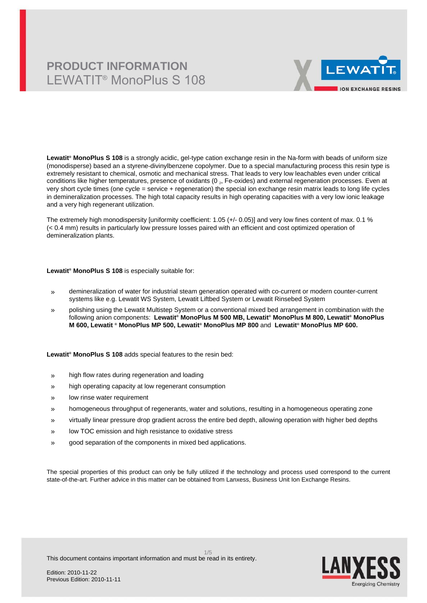## **PRODUCT INFORMATION** LEWATIT® MonoPlus S 108



**Lewatit® MonoPlus S 108** is a strongly acidic, gel-type cation exchange resin in the Na-form with beads of uniform size (monodisperse) based an a styrene-divinylbenzene copolymer. Due to a special manufacturing process this resin type is extremely resistant to chemical, osmotic and mechanical stress. That leads to very low leachables even under critical conditions like higher temperatures, presence of oxidants (0 $_{2}$ , Fe-oxides) and external regeneration processes. Even at very short cycle times (one cycle = service + regeneration) the special ion exchange resin matrix leads to long life cycles in demineralization processes. The high total capacity results in high operating capacities with a very low ionic leakage and a very high regenerant utilization.

The extremely high monodispersity [uniformity coefficient: 1.05 (+/- 0.05)] and very low fines content of max. 0.1 % (< 0.4 mm) results in particularly low pressure losses paired with an efficient and cost optimized operation of demineralization plants.

#### **Lewatit® MonoPlus S 108** is especially suitable for:

- » demineralization of water for industrial steam generation operated with co-current or modern counter-current systems like e.g. Lewatit WS System, Lewatit Liftbed System or Lewatit Rinsebed System
- » polishing using the Lewatit Multistep System or a conventional mixed bed arrangement in combination with the following anion components: **Lewatit® MonoPlus M 500 MB, Lewatit® MonoPlus M 800, Lewatit® MonoPlus M 600, Lewatit ® MonoPlus MP 500, Lewatit® MonoPlus MP 800** and **Lewatit® MonoPlus MP 600.**

**Lewatit® MonoPlus S 108** adds special features to the resin bed:

- » high flow rates during regeneration and loading
- » high operating capacity at low regenerant consumption
- » low rinse water requirement
- » homogeneous throughput of regenerants, water and solutions, resulting in a homogeneous operating zone
- » virtually linear pressure drop gradient across the entire bed depth, allowing operation with higher bed depths
- » low TOC emission and high resistance to oxidative stress
- » good separation of the components in mixed bed applications.

The special properties of this product can only be fully utilized if the technology and process used correspond to the current state-of-the-art. Further advice in this matter can be obtained from Lanxess, Business Unit Ion Exchange Resins.

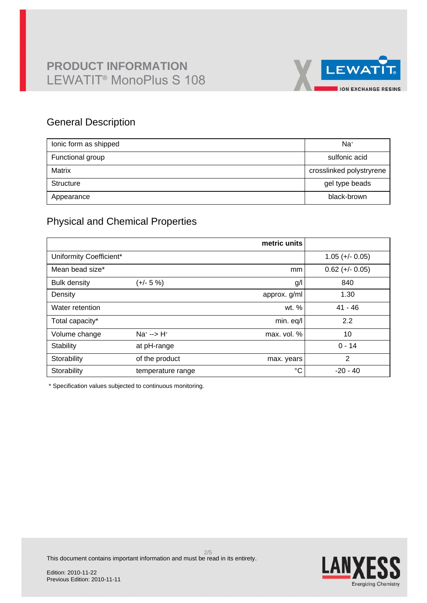

### General Description

| lonic form as shipped | Na <sup>+</sup>          |
|-----------------------|--------------------------|
| Functional group      | sulfonic acid            |
| Matrix                | crosslinked polystryrene |
| Structure             | gel type beads           |
| Appearance            | black-brown              |

## Physical and Chemical Properties

|                         |                      | metric units |                   |
|-------------------------|----------------------|--------------|-------------------|
| Uniformity Coefficient* |                      |              | $1.05 (+/- 0.05)$ |
| Mean bead size*         |                      | mm           | $0.62 (+/- 0.05)$ |
| <b>Bulk density</b>     | (+/- 5 %)            | g/l          | 840               |
| Density                 |                      | approx. g/ml | 1.30              |
| Water retention         |                      | wt. %        | $41 - 46$         |
| Total capacity*         |                      | min. eq/l    | 2.2               |
| Volume change           | $Na^{+}$ --> $H^{+}$ | max. vol. %  | 10                |
| Stability               | at pH-range          |              | $0 - 14$          |
| Storability             | of the product       | max. years   | $\overline{2}$    |
| Storability             | temperature range    | $^{\circ}C$  | $-20 - 40$        |

\* Specification values subjected to continuous monitoring.



This document contains important information and must be read in its entirety.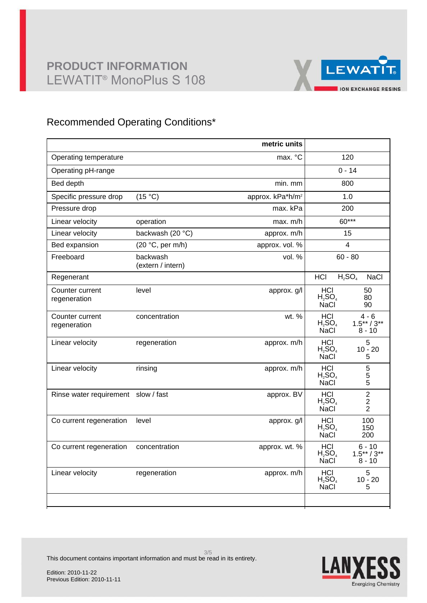## **PRODUCT INFORMATION** LEWATIT® MonoPlus S 108



### Recommended Operating Conditions\*

|                                     |                               | metric units                 |                                        |                                       |  |
|-------------------------------------|-------------------------------|------------------------------|----------------------------------------|---------------------------------------|--|
| Operating temperature               |                               | max. °C                      | 120                                    |                                       |  |
| Operating pH-range                  |                               |                              | $0 - 14$                               |                                       |  |
| Bed depth                           |                               | min. mm                      |                                        | 800                                   |  |
| Specific pressure drop              | (15 °C)                       | approx. kPa*h/m <sup>2</sup> |                                        | 1.0                                   |  |
| Pressure drop                       |                               | max. kPa                     |                                        | 200                                   |  |
| Linear velocity                     | operation                     | max. m/h                     |                                        | 60***                                 |  |
| Linear velocity                     | backwash (20 °C)              | approx. m/h                  |                                        | 15                                    |  |
| Bed expansion                       | (20 °C, per m/h)              | approx. vol. %               |                                        | 4                                     |  |
| Freeboard                           | backwash<br>(extern / intern) | vol. %                       | $60 - 80$                              |                                       |  |
| Regenerant                          |                               |                              | HCI                                    | $H_2SO_4$<br><b>NaCl</b>              |  |
| Counter current<br>regeneration     | level                         | approx. g/l                  | <b>HCI</b><br>$H_2SO_4$<br><b>NaCl</b> | 50<br>80<br>90                        |  |
| Counter current<br>regeneration     | concentration                 | wt. %                        | HCI<br>$H_2SO_4$<br><b>NaCl</b>        | $4 - 6$<br>$1.5***/3**$<br>8 - 10     |  |
| Linear velocity                     | regeneration                  | approx. m/h                  | <b>HCI</b><br>$H_2SO_4$<br><b>NaCl</b> | 5<br>$10 - 20$<br>5                   |  |
| Linear velocity                     | rinsing                       | approx. m/h                  | <b>HCI</b><br>$H_2SO_4$<br><b>NaCl</b> | 5<br>$\frac{5}{5}$                    |  |
| Rinse water requirement slow / fast |                               | approx. BV                   | <b>HCI</b><br>$H_2SO_4$<br><b>NaCl</b> | $\overline{2}$<br>2<br>$\overline{2}$ |  |
| Co current regeneration             | level                         | approx. g/l                  | <b>HCI</b><br>$H_2SO_4$<br><b>NaCl</b> | 100<br>150<br>200                     |  |
| Co current regeneration             | concentration                 | approx. wt. %                | HCI<br>$H_2SO_4$<br><b>NaCl</b>        | 6 - 10<br>$1.5***/3**$<br>$8 - 10$    |  |
| Linear velocity                     | regeneration                  | approx. m/h                  | <b>HCI</b><br>$H_2SO_4$<br>NaCl        | 5<br>$10 - 20$<br>5                   |  |
|                                     |                               |                              |                                        |                                       |  |



This document contains important information and must be read in its entirety.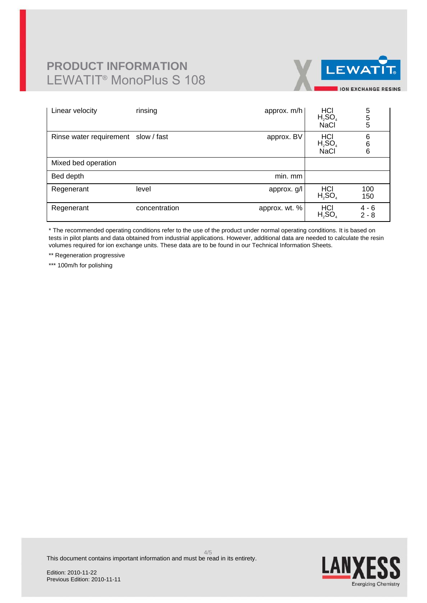# **PRODUCT INFORMATION** LEWATIT® MonoPlus S 108



| Linear velocity                     | rinsing       | approx. m/h   | $H_2$ SO <sub>4</sub><br><b>NaCl</b>   | 5<br>5<br>5        |
|-------------------------------------|---------------|---------------|----------------------------------------|--------------------|
| Rinse water requirement slow / fast |               | approx. BV    | <b>HCI</b><br>$H_2SO_4$<br><b>NaCl</b> | 6<br>6<br>6        |
| Mixed bed operation                 |               |               |                                        |                    |
| Bed depth                           |               | min. mm       |                                        |                    |
| Regenerant                          | level         | approx. g/l   | H <sub>2</sub> SO <sub>4</sub>         | 100<br>150         |
| Regenerant                          | concentration | approx. wt. % | HCI<br>$H_2SO_4$                       | $4 - 6$<br>$2 - 8$ |

\* The recommended operating conditions refer to the use of the product under normal operating conditions. It is based on tests in pilot plants and data obtained from industrial applications. However, additional data are needed to calculate the resin volumes required for ion exchange units. These data are to be found in our Technical Information Sheets.

\*\* Regeneration progressive

\*\*\* 100m/h for polishing